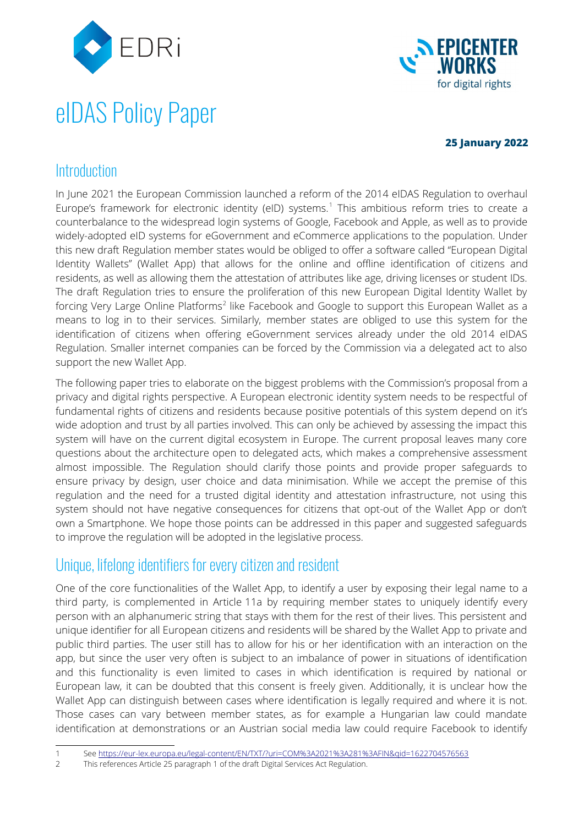

# eIDAS Policy Paper



### <span id="page-0-0"></span>**25 January 2022**

# **Introduction**

In June 2021 the European Commission launched a reform of the 2014 eIDAS Regulation to overhaul Europe's framework for electronic identity (eID) systems.<sup>[1](#page-0-1)</sup> This ambitious reform tries to create a counterbalance to the widespread login systems of Google, Facebook and Apple, as well as to provide widely-adopted eID systems for eGovernment and eCommerce applications to the population. Under this new draft Regulation member states would be obliged to offer a software called "European Digital Identity Wallets" (Wallet App) that allows for the online and offline identification of citizens and residents, as well as allowing them the attestation of attributes like age, driving licenses or student IDs. The draft Regulation tries to ensure the proliferation of this new European Digital Identity Wallet by forcing Very Large Online Platforms<sup>[2](#page-0-3)</sup> like Facebook and Google to support this European Wallet as a means to log in to their services. Similarly, member states are obliged to use this system for the identification of citizens when offering eGovernment services already under the old 2014 eIDAS Regulation. Smaller internet companies can be forced by the Commission via a delegated act to also support the new Wallet App.

<span id="page-0-2"></span>The following paper tries to elaborate on the biggest problems with the Commission's proposal from a privacy and digital rights perspective. A European electronic identity system needs to be respectful of fundamental rights of citizens and residents because positive potentials of this system depend on it's wide adoption and trust by all parties involved. This can only be achieved by assessing the impact this system will have on the current digital ecosystem in Europe. The current proposal leaves many core questions about the architecture open to delegated acts, which makes a comprehensive assessment almost impossible. The Regulation should clarify those points and provide proper safeguards to ensure privacy by design, user choice and data minimisation. While we accept the premise of this regulation and the need for a trusted digital identity and attestation infrastructure, not using this system should not have negative consequences for citizens that opt-out of the Wallet App or don't own a Smartphone. We hope those points can be addressed in this paper and suggested safeguards to improve the regulation will be adopted in the legislative process.

# Unique, lifelong identifiers for every citizen and resident

One of the core functionalities of the Wallet App, to identify a user by exposing their legal name to a third party, is complemented in Article 11a by requiring member states to uniquely identify every person with an alphanumeric string that stays with them for the rest of their lives. This persistent and unique identifier for all European citizens and residents will be shared by the Wallet App to private and public third parties. The user still has to allow for his or her identification with an interaction on the app, but since the user very often is subject to an imbalance of power in situations of identification and this functionality is even limited to cases in which identification is required by national or European law, it can be doubted that this consent is freely given. Additionally, it is unclear how the Wallet App can distinguish between cases where identification is legally required and where it is not. Those cases can vary between member states, as for example a Hungarian law could mandate identification at demonstrations or an Austrian social media law could require Facebook to identify

- <span id="page-0-1"></span>[1](#page-0-0) See<https://eur-lex.europa.eu/legal-content/EN/TXT/?uri=COM%3A2021%3A281%3AFIN&qid=1622704576563>
- <span id="page-0-3"></span>[2](#page-0-2) This references Article 25 paragraph 1 of the draft Digital Services Act Regulation.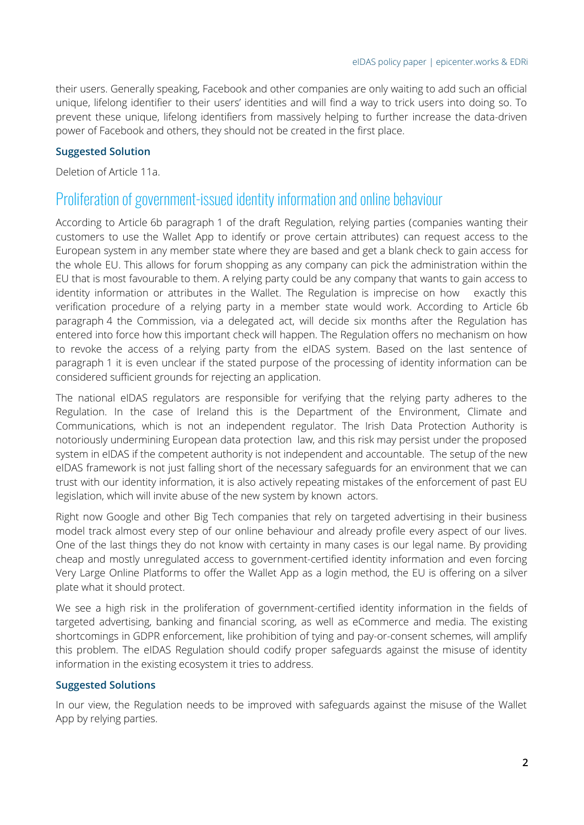their users. Generally speaking, Facebook and other companies are only waiting to add such an official unique, lifelong identifier to their users' identities and will find a way to trick users into doing so. To prevent these unique, lifelong identifiers from massively helping to further increase the data-driven power of Facebook and others, they should not be created in the first place.

#### **Suggested Solution**

Deletion of Article 11a.

## Proliferation of government-issued identity information and online behaviour

According to Article 6b paragraph 1 of the draft Regulation, relying parties (companies wanting their customers to use the Wallet App to identify or prove certain attributes) can request access to the European system in any member state where they are based and get a blank check to gain access for the whole EU. This allows for forum shopping as any company can pick the administration within the EU that is most favourable to them. A relying party could be any company that wants to gain access to identity information or attributes in the Wallet. The Regulation is imprecise on how exactly this verification procedure of a relying party in a member state would work. According to Article 6b paragraph 4 the Commission, via a delegated act, will decide six months after the Regulation has entered into force how this important check will happen. The Regulation offers no mechanism on how to revoke the access of a relying party from the eIDAS system. Based on the last sentence of paragraph 1 it is even unclear if the stated purpose of the processing of identity information can be considered sufficient grounds for rejecting an application.

The national eIDAS regulators are responsible for verifying that the relying party adheres to the Regulation. In the case of Ireland this is the Department of the Environment, Climate and Communications, which is not an independent regulator. The Irish Data Protection Authority is notoriously undermining European data protection law, and this risk may persist under the proposed system in eIDAS if the competent authority is not independent and accountable. The setup of the new eIDAS framework is not just falling short of the necessary safeguards for an environment that we can trust with our identity information, it is also actively repeating mistakes of the enforcement of past EU legislation, which will invite abuse of the new system by known actors.

Right now Google and other Big Tech companies that rely on targeted advertising in their business model track almost every step of our online behaviour and already profile every aspect of our lives. One of the last things they do not know with certainty in many cases is our legal name. By providing cheap and mostly unregulated access to government-certified identity information and even forcing Very Large Online Platforms to offer the Wallet App as a login method, the EU is offering on a silver plate what it should protect.

We see a high risk in the proliferation of government-certified identity information in the fields of targeted advertising, banking and financial scoring, as well as eCommerce and media. The existing shortcomings in GDPR enforcement, like prohibition of tying and pay-or-consent schemes, will amplify this problem. The eIDAS Regulation should codify proper safeguards against the misuse of identity information in the existing ecosystem it tries to address.

#### **Suggested Solutions**

In our view, the Regulation needs to be improved with safeguards against the misuse of the Wallet App by relying parties.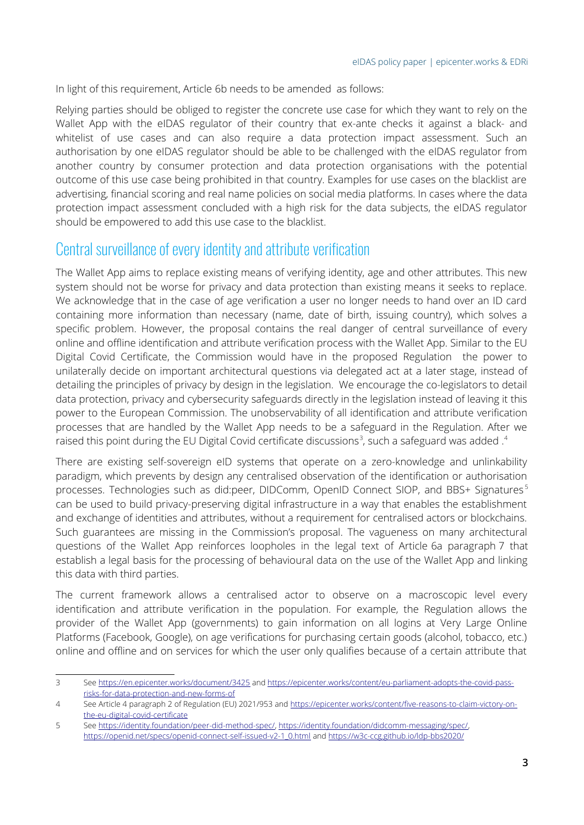In light of this requirement, Article 6b needs to be amended as follows:

Relying parties should be obliged to register the concrete use case for which they want to rely on the Wallet App with the eIDAS regulator of their country that ex-ante checks it against a black- and whitelist of use cases and can also require a data protection impact assessment. Such an authorisation by one eIDAS regulator should be able to be challenged with the eIDAS regulator from another country by consumer protection and data protection organisations with the potential outcome of this use case being prohibited in that country. Examples for use cases on the blacklist are advertising, financial scoring and real name policies on social media platforms. In cases where the data protection impact assessment concluded with a high risk for the data subjects, the eIDAS regulator should be empowered to add this use case to the blacklist.

# Central surveillance of every identity and attribute verification

The Wallet App aims to replace existing means of verifying identity, age and other attributes. This new system should not be worse for privacy and data protection than existing means it seeks to replace. We acknowledge that in the case of age verification a user no longer needs to hand over an ID card containing more information than necessary (name, date of birth, issuing country), which solves a specific problem. However, the proposal contains the real danger of central surveillance of every online and offline identification and attribute verification process with the Wallet App. Similar to the EU Digital Covid Certificate, the Commission would have in the proposed Regulation the power to unilaterally decide on important architectural questions via delegated act at a later stage, instead of detailing the principles of privacy by design in the legislation. We encourage the co-legislators to detail data protection, privacy and cybersecurity safeguards directly in the legislation instead of leaving it this power to the European Commission. The unobservability of all identification and attribute verification processes that are handled by the Wallet App needs to be a safeguard in the Regulation. After we raised this point during the EU Digital Covid certificate discussions<sup>[3](#page-2-1)</sup>, such a safeguard was added .<sup>[4](#page-2-3)</sup>

<span id="page-2-4"></span><span id="page-2-2"></span><span id="page-2-0"></span>There are existing self-sovereign eID systems that operate on a zero-knowledge and unlinkability paradigm, which prevents by design any centralised observation of the identification or authorisation processes. Technologies such as did:peer, DIDComm, OpenID Connect SIOP, and BBS+ Signatures [5](#page-2-5) can be used to build privacy-preserving digital infrastructure in a way that enables the establishment and exchange of identities and attributes, without a requirement for centralised actors or blockchains. Such guarantees are missing in the Commission's proposal. The vagueness on many architectural questions of the Wallet App reinforces loopholes in the legal text of Article 6a paragraph 7 that establish a legal basis for the processing of behavioural data on the use of the Wallet App and linking this data with third parties.

The current framework allows a centralised actor to observe on a macroscopic level every identification and attribute verification in the population. For example, the Regulation allows the provider of the Wallet App (governments) to gain information on all logins at Very Large Online Platforms (Facebook, Google), on age verifications for purchasing certain goods (alcohol, tobacco, etc.) online and offline and on services for which the user only qualifies because of a certain attribute that

<span id="page-2-1"></span>[<sup>3</sup>](#page-2-0) See<https://en.epicenter.works/document/3425> and [https://epicenter.works/content/eu-parliament-adopts-the-covid-pass](https://epicenter.works/content/eu-parliament-adopts-the-covid-pass-risks-for-data-protection-and-new-forms-of)[risks-for-data-protection-and-new-forms-of](https://epicenter.works/content/eu-parliament-adopts-the-covid-pass-risks-for-data-protection-and-new-forms-of)

<span id="page-2-3"></span>[<sup>4</sup>](#page-2-2) See Article 4 paragraph 2 of Regulation (EU) 2021/953 and [https://epicenter.works/content/five-reasons-to-claim-victory-on](https://epicenter.works/content/five-reasons-to-claim-victory-on-the-eu-digital-covid-certificate)[the-eu-digital-covid-certificate](https://epicenter.works/content/five-reasons-to-claim-victory-on-the-eu-digital-covid-certificate)

<span id="page-2-5"></span>[<sup>5</sup>](#page-2-4) See<https://identity.foundation/peer-did-method-spec/>,<https://identity.foundation/didcomm-messaging/spec/>, [https://openid.net/specs/openid-connect-self-issued-v2-1\\_0.html](https://openid.net/specs/openid-connect-self-issued-v2-1_0.html) and <https://w3c-ccg.github.io/ldp-bbs2020/>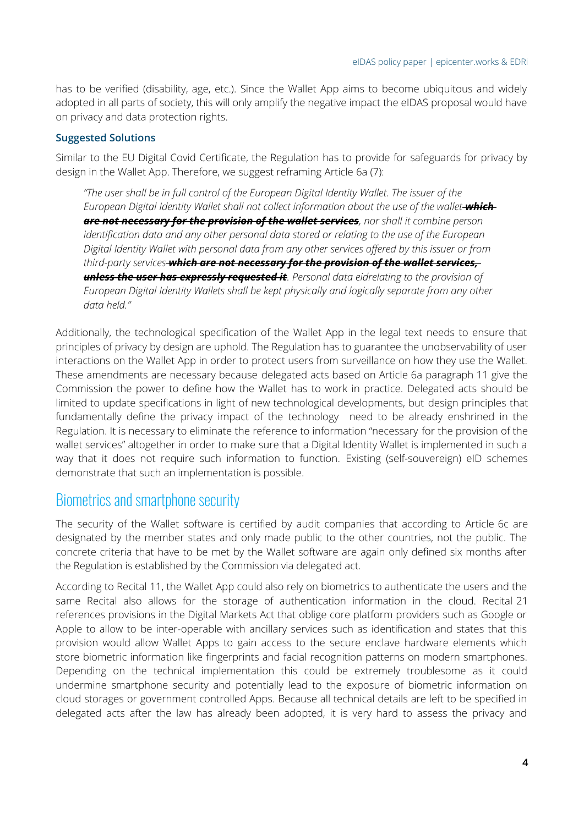has to be verified (disability, age, etc.). Since the Wallet App aims to become ubiquitous and widely adopted in all parts of society, this will only amplify the negative impact the eIDAS proposal would have on privacy and data protection rights.

#### **Suggested Solutions**

Similar to the EU Digital Covid Certificate, the Regulation has to provide for safeguards for privacy by design in the Wallet App. Therefore, we suggest reframing Article 6a (7):

*"The user shall be in full control of the European Digital Identity Wallet. The issuer of the European Digital Identity Wallet shall not collect information about the use of the wallet which are not necessary for the provision of the wallet services, nor shall it combine person identification data and any other personal data stored or relating to the use of the European Digital Identity Wallet with personal data from any other services offered by this issuer or from third-party services which are not necessary for the provision of the wallet services, unless the user has expressly requested it. Personal data eidrelating to the provision of European Digital Identity Wallets shall be kept physically and logically separate from any other data held."*

Additionally, the technological specification of the Wallet App in the legal text needs to ensure that principles of privacy by design are uphold. The Regulation has to guarantee the unobservability of user interactions on the Wallet App in order to protect users from surveillance on how they use the Wallet. These amendments are necessary because delegated acts based on Article 6a paragraph 11 give the Commission the power to define how the Wallet has to work in practice. Delegated acts should be limited to update specifications in light of new technological developments, but design principles that fundamentally define the privacy impact of the technology need to be already enshrined in the Regulation. It is necessary to eliminate the reference to information "necessary for the provision of the wallet services" altogether in order to make sure that a Digital Identity Wallet is implemented in such a way that it does not require such information to function. Existing (self-souvereign) eID schemes demonstrate that such an implementation is possible.

## Biometrics and smartphone security

The security of the Wallet software is certified by audit companies that according to Article 6c are designated by the member states and only made public to the other countries, not the public. The concrete criteria that have to be met by the Wallet software are again only defined six months after the Regulation is established by the Commission via delegated act.

According to Recital 11, the Wallet App could also rely on biometrics to authenticate the users and the same Recital also allows for the storage of authentication information in the cloud. Recital 21 references provisions in the Digital Markets Act that oblige core platform providers such as Google or Apple to allow to be inter-operable with ancillary services such as identification and states that this provision would allow Wallet Apps to gain access to the secure enclave hardware elements which store biometric information like fingerprints and facial recognition patterns on modern smartphones. Depending on the technical implementation this could be extremely troublesome as it could undermine smartphone security and potentially lead to the exposure of biometric information on cloud storages or government controlled Apps. Because all technical details are left to be specified in delegated acts after the law has already been adopted, it is very hard to assess the privacy and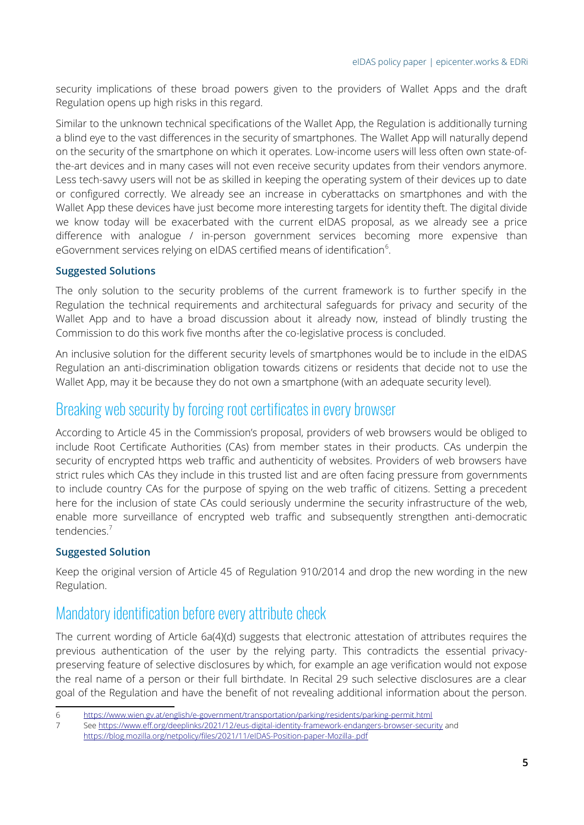security implications of these broad powers given to the providers of Wallet Apps and the draft Regulation opens up high risks in this regard.

Similar to the unknown technical specifications of the Wallet App, the Regulation is additionally turning a blind eye to the vast differences in the security of smartphones. The Wallet App will naturally depend on the security of the smartphone on which it operates. Low-income users will less often own state-ofthe-art devices and in many cases will not even receive security updates from their vendors anymore. Less tech-savvy users will not be as skilled in keeping the operating system of their devices up to date or configured correctly. We already see an increase in cyberattacks on smartphones and with the Wallet App these devices have just become more interesting targets for identity theft. The digital divide we know today will be exacerbated with the current eIDAS proposal, as we already see a price difference with analogue / in-person government services becoming more expensive than eGovernment services relying on eIDAS certified means of identification<sup>[6](#page-4-1)</sup>.

## <span id="page-4-0"></span>**Suggested Solutions**

The only solution to the security problems of the current framework is to further specify in the Regulation the technical requirements and architectural safeguards for privacy and security of the Wallet App and to have a broad discussion about it already now, instead of blindly trusting the Commission to do this work five months after the co-legislative process is concluded.

An inclusive solution for the different security levels of smartphones would be to include in the eIDAS Regulation an anti-discrimination obligation towards citizens or residents that decide not to use the Wallet App, may it be because they do not own a smartphone (with an adequate security level).

## Breaking web security by forcing root certificates in every browser

According to Article 45 in the Commission's proposal, providers of web browsers would be obliged to include Root Certificate Authorities (CAs) from member states in their products. CAs underpin the security of encrypted https web traffic and authenticity of websites. Providers of web browsers have strict rules which CAs they include in this trusted list and are often facing pressure from governments to include country CAs for the purpose of spying on the web traffic of citizens. Setting a precedent here for the inclusion of state CAs could seriously undermine the security infrastructure of the web, enable more surveillance of encrypted web traffic and subsequently strengthen anti-democratic tendencies.[7](#page-4-3)

## <span id="page-4-2"></span>**Suggested Solution**

Keep the original version of Article 45 of Regulation 910/2014 and drop the new wording in the new Regulation.

# Mandatory identification before every attribute check

The current wording of Article 6a(4)(d) suggests that electronic attestation of attributes requires the previous authentication of the user by the relying party. This contradicts the essential privacypreserving feature of selective disclosures by which, for example an age verification would not expose the real name of a person or their full birthdate. In Recital 29 such selective disclosures are a clear goal of the Regulation and have the benefit of not revealing additional information about the person.

<span id="page-4-1"></span>[<sup>6</sup>](#page-4-0)<https://www.wien.gv.at/english/e-government/transportation/parking/residents/parking-permit.html>

<span id="page-4-3"></span>[<sup>7</sup>](#page-4-2) See <https://www.eff.org/deeplinks/2021/12/eus-digital-identity-framework-endangers-browser-security>and